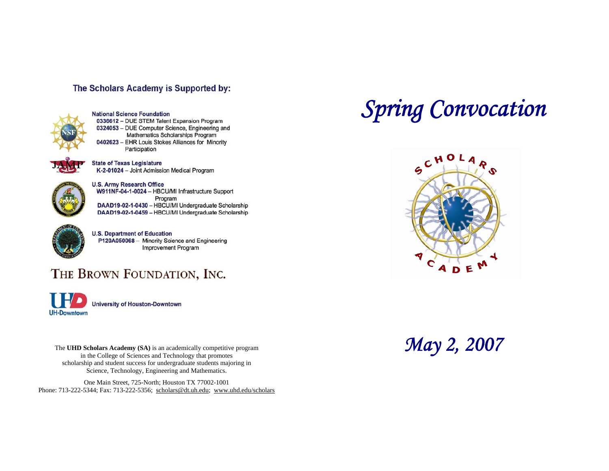## The Scholars Academy is Supported by:



**National Science Foundation** 0336612 - DUE STEM Talent Expansion Program 0324053 - DUE Computer Science, Engineering and Mathematics Scholarships Program 0402623 - EHR Louis Stokes Alliances for Minority Participation

**State of Texas Legislature** K-2-01024 - Joint Admission Medical Program



**U.S. Army Research Office** W911NF-04-1-0024 - HBCU/MI Infrastructure Support Program DAAD19-02-1-0430 - HBCU/MI Undergraduate Scholarship DAAD19-02-1-0459 - HBCU/MI Undergraduate Scholarship



**U.S. Department of Education** P120A050068 - Minority Science and Engineering **Improvement Program** 

## THE BROWN FOUNDATION, INC.

**University of Houston-Downtown UH-Downtown** 

The UHD Scholars Academy (SA) is an academically competitive program **May 2, 2007** in the College of Sciences and Technology that promotes scholarship and student success for undergraduate students majoring in Science, Technology, Engineering and Mathematics.

One Main Street, 725-North; Houston TX 77002-1001 Phone: 713-222-5344; Fax: 713-222-5356; [scholars@dt.uh.edu](mailto:scholars@dt.uh.edu); <www.uhd.edu/scholars>

## *Spring Convocation*

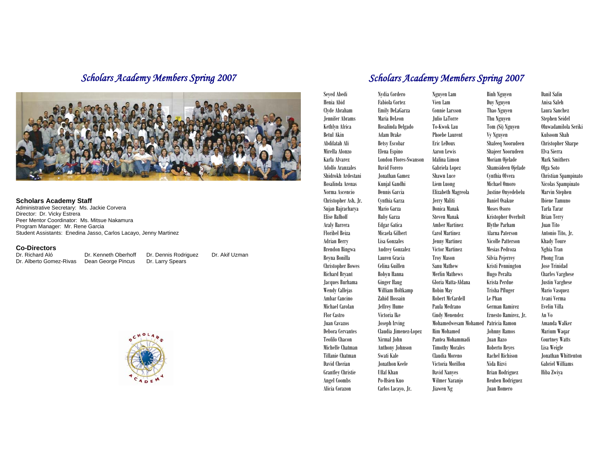

#### **Scholars Academy Staff**

Administrative Secretary: Ms. Jackie Corvera Director: Dr. Vicky Estrera Peer Mentor Coordinator: Ms. Mitsue Nakamura Program Manager: Mr. Rene Garcia Student Assistants: Enedina Jasso, Carlos Lacayo, Jenny Martinez

#### **Co-Directors**

Dr. Richard Aló **Dr. Kenneth Oberhoff** Dr. Dennis Rodriguez<br>Dr. Alberto Gomez-Rivas Dean George Pincus Dr. Larry Spears Dr. Alberto Gomez-Rivas

Dr. Akif Uzman



## *Scholars Academy Members Spring 2007 Scholars Academy Members Spring 2007*

Seyed Abedi Nydia Cordero Nguyen Lam Binh Nguyen Danil Safin Henia Abid Fabiola Cortez Vien Lam Duy Nguyen Anisa Saleh Clyde Abraham Emily DeLaGarza Connie Larsson Thao Nguyen Laura Sanchez Jennifer Abrams Maria DeLeon Julio LaTorre Thu Nguyen Stephen Seidel Kethlyn Africa Rosalinda Delgado To-Kwok Lau Tom (Si) Nguyen Oluwadamilola Seriki Betul Akin Adam Drake Phoebe Laurent Vy Nguyen Kulsoom Shah Abdifatah Ali Betsy Escobar Eric LeDoux Shafeeq Noorudeen Christopher Sharpe Mirella Alonzo Elena Espino Aaron Lewis Shajeer Noorudeen Elva Sierra Karla Alvarez London Flores-Swanson Idalina Limon Moriam Ojelade Mark Smithers Adolfo Aranzales David Forero Gabriela Lopez Shamsideen Ojelade Olga Soto Shidrokh Ardestani Jonathan Gamez Shawn Luce Cynthia Olvera Christian Spampinato Rosalinda Arenas Kunjal Gandhi Liem Luong Michael Omoro Nicolas Spampinato Norma Ascencio Dennis Garcia Elizabeth Magreola Justine Onyedebelu Marvin Stephen Christopher Ash, Jr. Cynthia Garza Jerry Maliti Daniel Osakue Ibiene Tamuno Sujan Bajracharya Mario Garza Donica Manak Moses Osoro Tarfa Tarar Elise Balhoff Ruby Garza Steven Manak Kristopher Overholt Brian Terry Araly Barrera Edgar Gatica Amber Martinez Blythe Parham Juan Tito Floribel Beiza Micaela Gilbert Carol Martinez Alarna Paterson Antonio Tito, Jr. Adrian Berry Lisa Gonzales Jenny Martinez Nicolle Patterson Khady Toure Brendon Bingwa Audrey Gonzalez Victor Martinez Mesias Pedroza Nghia Tran Reyna Bonilla Lauren Gracia Troy Mason Silvia Pejerrey Phong Tran Christopher Bowes Celina Guillen Sanu Mathew Kristi Pennington Jose Trinidad Richard Bryant Robyn Hanna Merlin Mathews Hugo Peralta Charles Varghese Jacques Burhama Ginger Haug Gloria Matta-Aldana Krista Perdue Justin Varghese Wendy Callejas William Holtkamp Robin May Trisha Pfluger Mario Vasquez Ambar Cancino Zahid Hossain Robert McCardell Le Phan Michael Carolan Jeffrey Hume Paula Medrano German Ramirez Evelin Villa Flor Castro Victoria Ike Cindy Menendez Ernesto Ramirez, Jr. An Vo Juan Cavazos Joseph Irving Mohamedwesam Mohamed Patricia Ramon Amanda Walker Debora Cervantes Claudia Jimenez-Lopez Rim Mohamed Johnny Ramos Marium Waqar Teofilo Chacon Nirmal John Pantea Mohammadi Juan Razo Courtney Watts Michelle Chatman Anthony Johnson Timothy Morales Roberto Reyes Lisa Weigle Tiffanie Chatman Swati Kale Claudia Moreno Rachel Richison Jonathan Whittenton David Cherian Jonathon Keele Victoria Morillon Nida Rizvi Gabriel Williams Grantley Christie Uffaf Khan David Nanyes Brian Rodriguez Hiba Zwiya Angel Coombs Po-Hsien Kuo Wilmer Naranjo Reuben Rodriguez

Alicia Corazon Carlos Lacayo, Jr. Jiawen Ng Juan Romero

Avani Verma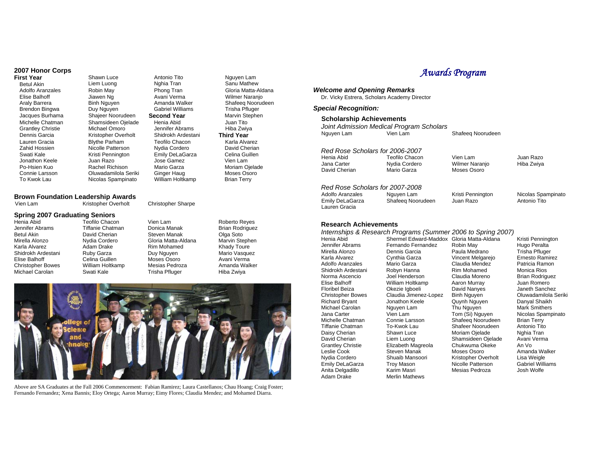## **2007 Honor Corps**

# Brendon Bingwa

**Shawn Luce** Betul Akin Liem Luong Adolfo Aranzales Robin May<br>Flise Balhoff Blawen No Elise Balhoff Jiawen Ng<br>Araly Barrera **Binh Nauve** Binh Nguyen<br>Duy Nguyen Jacques Burhama Shajeer Noorudeen Michelle Chatman Shamsideen Ojelade<br>Grantley Christie Michael Omoro Grantley Christie<br>Dennis Garcia Kristopher Overholt Lauren Gracia Blythe Parham<br>Zabid Hossien Blicolle Patterso Nicolle Patterson Swati Kale **Kristi Pennington**<br>
Juan Razo<br>
Juan Razo Jonathon Keele Po-Hsien Kuo Rachel Richison Connie Larsson Oluwadamilola Seriki To Kwok Lau Nicolas Spampinato

## **Brown Foundation Leadership Awards**

Celina Guillen

Vien Lam Kristopher Overholt

## **Spring 2007 Graduating Seniors**

Jennifer Abrams Tiffanie Chatman Betul Akin David Cherian Mirella Alonzo Nydia Cordero Karla Alvarez **Adam Drake** Shidrokh Ardestani Ruby Garza<br>Flise Balhoff Celina Guille Christopher Bowes William Holtkamp Michael Carolan Swati Kale

Teofilo Chacon Jose Gamez Mario Garza Ginger Haug Vien Lam Donica Manak Steven Manak Gloria Matta-Aldana Rim Mohamed

Antonio Tito Nghia Tran Phong Tran Avani Verma Amanda Walker Gabriel Williams **Second Year** Henia Abid Jennifer Abrams Shidrokh Ardestani Teofilo Chacon Nydia Cordero Emily DeLaGarza William Holtkamp **Third Year** 

Christopher Sharpe

Duy Nauven Moses Osoro Mesias Pedroza Trisha Pfluger

Roberto Reyes Brian Rodriguez Olga Soto Marvin Stephen Khady Toure Mario Vasquez Avani Verma Amanda Walker Hiba Zwiya

Nguyen Lam Sanu Mathew Gloria Matta-Aldana Wilmer Naranjo Shafeeq Noorudeen Trisha Pfluger Marvin Stephen Juan Tito Hiba Zwiya

Karla Alvarez David Cherian Celina Guillen Vien Lam Moriam Ojelade Moses Osoro Brian Terry



Above are SA Graduates at the Fall 2006 Commencement: Fabian Ramirez; Laura Castellanos; Chau Hoang; Craig Foster; Fernando Fernandez; Xena Bannis; Eloy Ortega; Aaron Murray; Eimy Flores; Claudia Mendez; and Mohamed Diarra.

## *Awards Program*

#### *Welcome and Opening Remarks*

Dr. Vicky Estrera, Scholars Academy Director

## *Special Recognition:*

## **Scholarship Achievements**

|            | Joint Admission Medical Program Scholars |
|------------|------------------------------------------|
| Nguyen Lam | Vien Lam                                 |

*Red Rose Scholars for 2006-2007* Henia Abid Teofilo Chacon Vien Lam Jana Carter Nydia Cordero Wilmer Naranjo

Moses Osoro<sup>"</sup>

Shafeeq Noorudeen

## Juan Razo Hiba Zwiya

## *Red Rose Scholars for 2007-2008*

Adolfo Aranzales Nguyen Lam Kristi Pennington Emily DeLaGarza Shafeeq Noorudeen Juan Razo Lauren Gracia

Paula Medrano

Tom (Si) Nguyen

Nicolas Spampinato Antonio Tito

#### **Research Achievements**

#### *Internships & Research Programs (Summer 2006 to Spring 2007)*

Henia Abid Shermel Edward-Maddox Gloria Matta-Aldana Jennifer Abrams Fernando Fernandez Robin May Adolfo Aranzales Michael Carolan Nguyen Lam<br>
Jana Carter Nien Lam Anita Delgadillo<br>Adam Drake

Karla Alvarez **Cynthia Garza** Vincent Melgarejo<br>Adolfo Aranzales Mario Garza **Claudia Mendez** Shidrokh Ardestani Robyn Hanna Rim Mohamed Norma Ascencio Joel Henderson Claudia Moreno Elise Balhoff **Mülliam Holtkamp** Aaron Murray<br>
Floribel Beiza **Ballic Contained Anti-Channes**<br>
Oavid Nanyes Floribel Beiza **Chang Containst Container Changes**<br>Claudia Jimenez-Lopez Binh Nguyen Claudia Jimenez-Lopez Binh Nguyen<br>Jonathon Keele Quynh Nguyen Richard Bryant Jonathon Keele Quynh Nguyen Michelle Chatman Connie Larsson Shafeeq Noorudeen To-Kwok Lau Shafeer Noorudeen Daisy Cherian Shawn Luce Moriam Ojelade David Cherian **Liem Luong** Shamsideen Ojelade<br>Grantley Christie **Elizabeth Magreola** Chukwuma Okeke Grantley Christie Elizabeth Magreola Chukwuma Okeke Steven Manak Nydia Cordero Shuaib Mansoori Kristopher Overholt<br>
Emily DeLaGarza Troy Mason Nicolle Patterson Emily DeLaGarza Troy Mason Nicolle Patterson<br>
Anita Delgadillo Karim Masri Nesias Pedroza **Merlin Mathews** 

Kristi Pennington Hugo Peralta Trisha Pfluger Ernesto Ramirez Patricia Ramon Monica Rios Brian Rodriguez Juan Romero Janeth Sanchez Oluwadamilola Seriki Danyal Shaikh Mark Smithers Nicolas Spampinato Brian Terry Antonio Tito Nghia Tran Avani Verma An Vo Amanda Walker Lisa Weigle Gabriel Williams Josh Wolfe